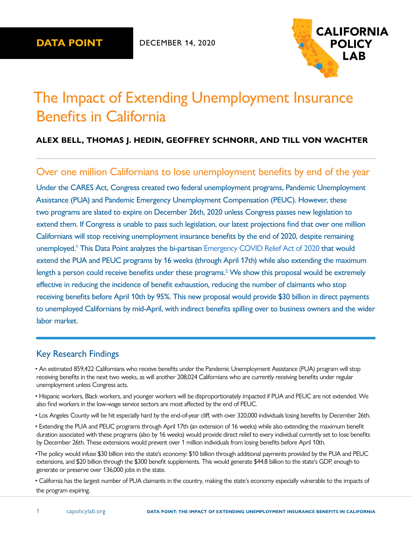

# <span id="page-0-0"></span>The Impact of Extending Unemployment Insurance Benefits in California

### **ALEX BELL, THOMAS J. HEDIN, GEOFFREY SCHNORR, AND TILL VON WACHTER**

## Over one million Californians to lose unemployment benefits by end of the year

Under the CARES Act, Congress created two federal unemployment programs, Pandemic Unemployment Assistance (PUA) and Pandemic Emergency Unemployment Compensation (PEUC). However, these two programs are slated to expire on December 26th, 2020 unless Congress passes new legislation to extend them. If Congress is unable to pass such legislation, our latest projections find that over one million Californians will stop receiving unemployment insurance benefits by the end of 2020, despite remaining unemployed.<sup>[1](#page-11-0)</sup> This Data Point analyzes the bi-partisan [Emergency COVID Relief Act of 2020](https://www.cnbc.com/2020/12/14/coronavirus-stimulus-updates-bipartisan-relief-bill-will-be-released.html) that would extend the PUA and PEUC programs by 16 weeks (through April 17th) while also extending the maximum length a person could receive benefits under these programs.<sup>2</sup> We show this proposal would be extremely effective in reducing the incidence of benefit exhaustion, reducing the number of claimants who stop receiving benefits before April 10th by 95%. This new proposal would provide \$30 billion in direct payments to unemployed Californians by mid-April, with indirect benefits spilling over to business owners and the wider labor market.

### Key Research Findings

• An estimated 859,422 Californians who receive benefits under the Pandemic Unemployment Assistance (PUA) program will stop receiving benefits in the next two weeks, as will another 208,024 Californians who are currently receiving benefits under regular unemployment unless Congress acts.

• Hispanic workers, Black workers, and younger workers will be disproportionately impacted if PUA and PEUC are not extended. We also find workers in the low-wage service sectors are most affected by the end of PEUC.

• Los Angeles County will be hit especially hard by the end-of-year cliff, with over 320,000 individuals losing benefits by December 26th.

• Extending the PUA and PEUC programs through April 17th (an extension of 16 weeks) while also extending the maximum benefit duration associated with these programs (also by 16 weeks) would provide direct relief to every individual currently set to lose benefits by December 26th. These extensions would prevent over 1 million individuals from losing benefits before April 10th.

•The policy would infuse \$30 billion into the state's economy: \$10 billion through additional payments provided by the PUA and PEUC extensions, and \$20 billion through the \$300 benefit supplements. This would generate \$44.8 billion to the state's GDP, enough to generate or preserve over 136,000 jobs in the state.

• California has the largest number of PUA claimants in the country, making the state's economy especially vulnerable to the impacts of the program expiring.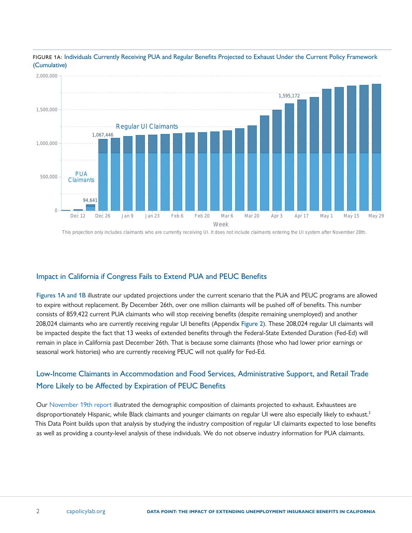

<span id="page-1-0"></span>FIGURE 1A: Individuals Currently Receiving PUA and Regular Benefits Projected to Exhaust Under the Current Policy Framework (Cumulative)

#### This projection only includes claimants who are currently receiving UI. It does not include claimants entering the UI system after November 28th.

### Impact in California if Congress Fails to Extend PUA and PEUC Benefits

Figures 1A and [1B](#page-2-0) illustrate our updated projections under the current scenario that the PUA and PEUC programs are allowed to expire without replacement. By December 26th, over one million claimants will be pushed off of benefits. This number consists of 859,422 current PUA claimants who will stop receiving benefits (despite remaining unemployed) and another 208,024 claimants who are currently receiving regular UI benefits (Appendix [Figure 2](#page-15-0)). These 208,024 regular UI claimants will be impacted despite the fact that 13 weeks of extended benefits through the Federal-State Extended Duration (Fed-Ed) will remain in place in California past December 26th. That is because some claimants (those who had lower prior earnings or seasonal work histories) who are currently receiving PEUC will not qualify for Fed-Ed.

### Low-Income Claimants in Accommodation and Food Services, Administrative Support, and Retail Trade More Likely to be Affected by Expiration of PEUC Benefits

Our [November 19th](https://www.capolicylab.org/publications/november-19th-analysis-of-unemployment-insurance-claims-in-california-during-the-covid-19-pandemic/) report illustrated the demographic composition of claimants projected to exhaust. Exhaustees are disproportionately Hispanic, while Black claimants and younger claimants on regular UI were also especially likely to exhaust.<sup>[3](#page-11-0)</sup> This Data Point builds upon that analysis by studying the industry composition of regular UI claimants expected to lose benefits as well as providing a county-level analysis of these individuals. We do not observe industry information for PUA claimants.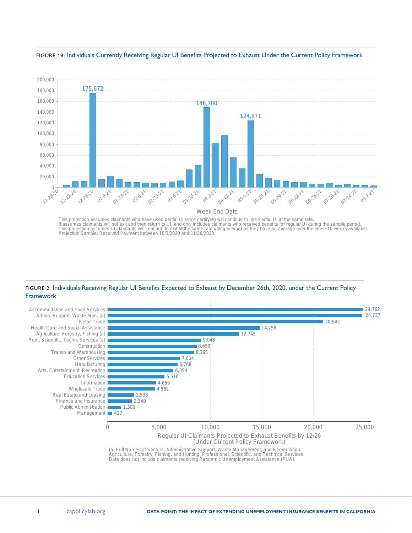

<span id="page-2-0"></span>FIGURE 1B: Individuals Currently Receiving Regular UI Benefits Projected to Exhaust Under the Current Policy Framework

FIGURE 2: Individuals Receiving Regular UI Benefits Expected to Exhaust by December 26th, 2020, under the Current Policy Framework

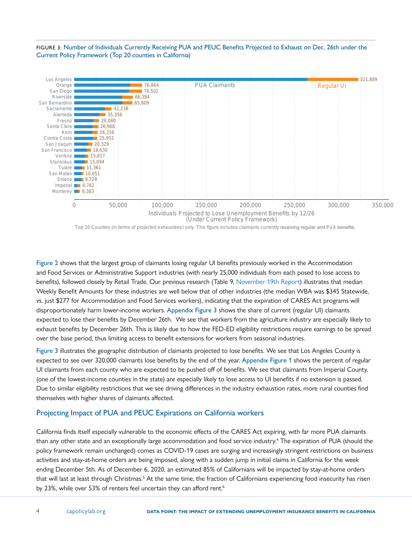#### <span id="page-3-0"></span>FIGURE 3: Number of Individuals Currently Receiving PUA and PEUC Benefits Projected to Exhaust on Dec. 26th under the Current Policy Framework (Top 20 counties in California)



Top 20 Counties (in terms of projected exhaustees) only. This figure includes claimants currently receiving regular and PUA benefits.

[Figure 2](#page-2-0) shows that the largest group of claimants losing regular UI benefits previously worked in the Accommodation and Food Services or Administrative Support industries (with nearly 25,000 individuals from each posed to lose access to benefits), followed closely by Retail Trade. Our previous research (Table 9, [November 19th Report\)](https://www.capolicylab.org/publications/november-19th-analysis-of-unemployment-insurance-claims-in-california-during-the-covid-19-pandemic/) illustrates that median Weekly Benefit Amounts for these industries are well below that of other industries (the median WBA was \$345 Statewide, vs. just \$277 for Accommodation and Food Services workers), indicating that the expiration of CARES Act programs will disproportionately harm lower-income workers. [Appendix Figure 3](#page-16-0) shows the share of current (regular UI) claimants expected to lose their benefits by December 26th. We see that workers from the agriculture industry are especially likely to exhaust benefits by December 26th. This is likely due to how the FED-ED eligibility restrictions require earnings to be spread over the base period, thus limiting access to benefit extensions for workers from seasonal industries.

Figure 3 illustrates the geographic distribution of claimants projected to lose benefits. We see that Los Angeles County is expected to see over 320,000 claimants lose benefits by the end of the year. [Appendix Figure 1](#page-15-0) shows the percent of regular UI claimants from each county who are expected to be pushed off of benefits. We see that claimants from Imperial County, (one of the lowest-income counties in the state) are especially likely to lose access to UI benefits if no extension is passed. Due to similar eligibility restrictions that we see driving differences in the industry exhaustion rates, more rural counties find themselves with higher shares of claimants affected.

### Projecting Impact of PUA and PEUC Expirations on California workers

California finds itself especially vulnerable to the economic effects of the CARES Act expiring, with far more PUA claimants than any other state and an exceptionally large accommodation and food service industry.<sup>[4](#page-11-0)</sup> The expiration of PUA (should the policy framework remain unchanged) comes as COVID-19 cases are surging and increasingly stringent restrictions on business activities and stay-at-home orders are being imposed, along with a sudden jump in initial claims in California for the week ending December 5th. As of December 6, 2020, an estimated 85% of Californians will be impacted by stay-at-home orders that will last at least through Christmas.<sup>5</sup> At the same time, the fraction of Californians experiencing food insecurity has risen by 23%, while over 53% of renters feel uncertain they can afford rent.<sup>[6](#page-11-0)</sup>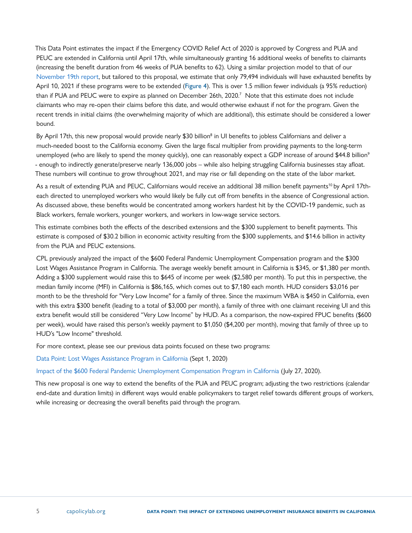<span id="page-4-0"></span>This Data Point estimates the impact if the [Emergency COVID Relief Act of 2020](https://www.cnbc.com/2020/12/14/coronavirus-stimulus-updates-bipartisan-relief-bill-will-be-released.html) is approved by Congress and PUA and PEUC are extended in California until April 17th, while simultaneously granting 16 additional weeks of benefits to claimants (increasing the benefit duration from 46 weeks of PUA benefits to 62). Using a similar projection model to that of our [November 19th report,](https://www.capolicylab.org/publications/november-19th-analysis-of-unemployment-insurance-claims-in-california-during-the-covid-19-pandemic/) but tailored to this proposal, we estimate that only 79,494 individuals will have exhausted benefits by April 10, 2021 if these programs were to be extended ([Figure 4](#page-6-0)). This is over 1.5 million fewer individuals (a 95% reduction) than if PUA and PEUC were to expire as planned on December 26th, 2020.[7](#page-11-0) Note that this estimate does not include claimants who may re-open their claims before this date, and would otherwise exhaust if not for the program. Given the recent trends in initial claims (the overwhelming majority of which are additional), this estimate should be considered a lower bound.

By April 17th, this new proposal would provide nearly \$30 billion<sup>[8](#page-11-0)</sup> in UI benefits to jobless Californians and deliver a much-needed boost to the California economy. Given the large fiscal multiplier from providing payments to the long-term unemployed (who are likely to spend the money quickly), one can reasonably expect a GDP increase of around \$44.8 billion<sup>[9](#page-11-0)</sup> - enough to indirectly generate/preserve nearly 136,000 jobs – while also helping struggling California businesses stay afloat. These numbers will continue to grow throughout 2021, and may rise or fall depending on the state of the labor market.

As a result of extending PUA and PEUC, Californians would receive an additional 38 million benefit payments<sup>10</sup> by April 17theach directed to unemployed workers who would likely be fully cut off from benefits in the absence of Congressional action. As discussed above, these benefits would be concentrated among workers hardest hit by the COVID-19 pandemic, such as Black workers, female workers, younger workers, and workers in low-wage service sectors.

This estimate combines both the effects of the described extensions and the \$300 supplement to benefit payments. This estimate is composed of \$30.2 billion in economic activity resulting from the \$300 supplements, and \$14.6 billion in activity from the PUA and PEUC extensions.

CPL previously analyzed the impact of the \$600 Federal Pandemic Unemployment Compensation program and the \$300 Lost Wages Assistance Program in California. The average weekly benefit amount in California is \$345, or \$1,380 per month. Adding a \$300 supplement would raise this to \$645 of income per week (\$2,580 per month). To put this in perspective, the median family income (MFI) in California is \$86,165, which comes out to \$7,180 each month. HUD considers \$3,016 per month to be the threshold for "Very Low Income" for a family of three. Since the maximum WBA is \$450 in California, even with this extra \$300 benefit (leading to a total of \$3,000 per month), a family of three with one claimant receiving UI and this extra benefit would still be considered "Very Low Income" by HUD. As a comparison, the now-expired FPUC benefits (\$600 per week), would have raised this person's weekly payment to \$1,050 (\$4,200 per month), moving that family of three up to HUD's "Low Income" threshold.

For more context, please see our previous data points focused on these two programs:

[Data Point: Lost Wages Assistance Program in California](https://www.capolicylab.org/publications/lost-wages-assistance-program-in-california/) (Sept 1, 2020)

[Impact of the \\$600 Federal Pandemic Unemployment Compensation Program in California](https://www.capolicylab.org/publications/federal-pandemic-unemployment-compensation-program-in-california/) (July 27, 2020).

This new proposal is one way to extend the benefits of the PUA and PEUC program; adjusting the two restrictions (calendar end-date and duration limits) in different ways would enable policymakers to target relief towards different groups of workers, while increasing or decreasing the overall benefits paid through the program.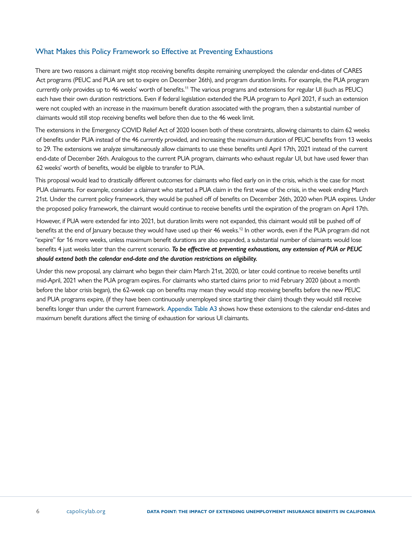### <span id="page-5-0"></span>What Makes this Policy Framework so Effective at Preventing Exhaustions

There are two reasons a claimant might stop receiving benefits despite remaining unemployed: the calendar end-dates of CARES Act programs (PEUC and PUA are set to expire on December 26th), and program duration limits. For example, the PUA program currently only provides up to 46 weeks' worth of benefits.[11](#page-11-0) The various programs and extensions for regular UI (such as PEUC) each have their own duration restrictions. Even if federal legislation extended the PUA program to April 2021, if such an extension were not coupled with an increase in the maximum benefit duration associated with the program, then a substantial number of claimants would still stop receiving benefits well before then due to the 46 week limit.

The extensions in the Emergency COVID Relief Act of 2020 loosen both of these constraints, allowing claimants to claim 62 weeks of benefits under PUA instead of the 46 currently provided, and increasing the maximum duration of PEUC benefits from 13 weeks to 29. The extensions we analyze simultaneously allow claimants to use these benefits until April 17th, 2021 instead of the current end-date of December 26th. Analogous to the current PUA program, claimants who exhaust regular UI, but have used fewer than 62 weeks' worth of benefits, would be eligible to transfer to PUA.

This proposal would lead to drastically different outcomes for claimants who filed early on in the crisis, which is the case for most PUA claimants. For example, consider a claimant who started a PUA claim in the first wave of the crisis, in the week ending March 21st. Under the current policy framework, they would be pushed off of benefits on December 26th, 2020 when PUA expires. Under the proposed policy framework, the claimant would continue to receive benefits until the expiration of the program on April 17th.

However, if PUA were extended far into 2021, but duration limits were not expanded, this claimant would still be pushed off of benefits at the end of January because they would have used up their 46 weeks[.12](#page-11-0) In other words, even if the PUA program did not "expire" for 16 more weeks, unless maximum benefit durations are also expanded, a substantial number of claimants would lose benefits 4 just weeks later than the current scenario. *To be effective at preventing exhaustions, any extension of PUA or PEUC should extend both the calendar end-date and the duration restrictions on eligibility.*

Under this new proposal, any claimant who began their claim March 21st, 2020, or later could continue to receive benefits until mid-April, 2021 when the PUA program expires. For claimants who started claims prior to mid February 2020 (about a month before the labor crisis began), the 62-week cap on benefits may mean they would stop receiving benefits before the new PEUC and PUA programs expire, (if they have been continuously unemployed since starting their claim) though they would still receive benefits longer than under the current framework. Appendix Table A3 shows how these extensions to the calendar end-dates and maximum benefit durations affect the timing of exhaustion for various UI claimants.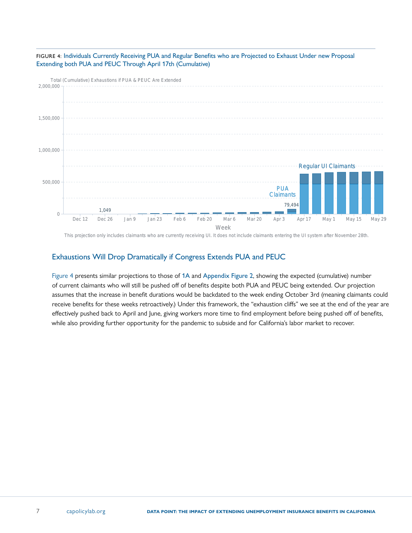<span id="page-6-0"></span>



This projection only includes claimants who are currently receiving UI. It does not include claimants entering the UI system after November 28th.

### Exhaustions Will Drop Dramatically if Congress Extends PUA and PEUC

Figure 4 presents similar projections to those of [1A](#page-1-0) and [Appendix Figure 2](#page-15-0), showing the expected (cumulative) number of current claimants who will still be pushed off of benefits despite both PUA and PEUC being extended. Our projection assumes that the increase in benefit durations would be backdated to the week ending October 3rd (meaning claimants could receive benefits for these weeks retroactively.) Under this framework, the "exhaustion cliffs" we see at the end of the year are effectively pushed back to April and June, giving workers more time to find employment before being pushed off of benefits, while also providing further opportunity for the pandemic to subside and for California's labor market to recover.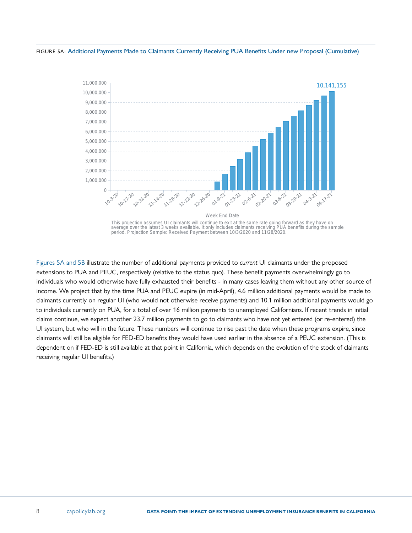FIGURE 5A: Additional Payments Made to Claimants Currently Receiving PUA Benefits Under new Proposal (Cumulative)



Figures 5A and [5B i](#page-8-0)llustrate the number of additional payments provided to *current* UI claimants under the proposed extensions to PUA and PEUC, respectively (relative to the status quo). These benefit payments overwhelmingly go to individuals who would otherwise have fully exhausted their benefits - in many cases leaving them without any other source of income. We project that by the time PUA and PEUC expire (in mid-April), 4.6 million additional payments would be made to claimants currently on regular UI (who would not otherwise receive payments) and 10.1 million additional payments would go to individuals currently on PUA, for a total of over 16 million payments to unemployed Californians. If recent trends in initial claims continue, we expect another 23.7 million payments to go to claimants who have not yet entered (or re-entered) the UI system, but who will in the future. These numbers will continue to rise past the date when these programs expire, since claimants will still be eligible for FED-ED benefits they would have used earlier in the absence of a PEUC extension. (This is dependent on if FED-ED is still available at that point in California, which depends on the evolution of the stock of claimants receiving regular UI benefits.)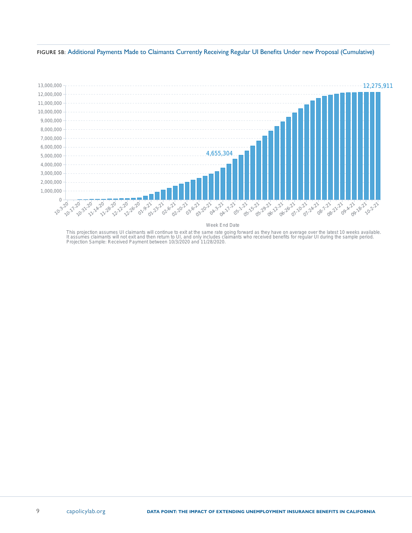<span id="page-8-0"></span>FIGURE 5B: Additional Payments Made to Claimants Currently Receiving Regular UI Benefits Under new Proposal (Cumulative)



Week End Date

This projection assumes UI claimants will continue to exit at the same rate going forward as they have on average over the latest 10 weeks available.<br>It assumes claimants will not exit and then return to UI, and only inclu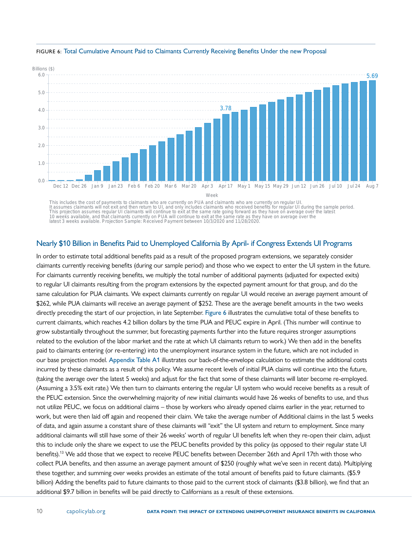

### <span id="page-9-0"></span>FIGURE 6: Total Cumulative Amount Paid to Claimants Currently Receiving Benefits Under the new Proposal

This includes the cost of payments to claimants who are currently on PUA and claimants who are currently on regular UI It assumes claimants will not exit and then return to UI, and only includes claimants who received benefits for regular UI during the sample period.<br>This projection assumes regular UI claimants will continue to exit at the latest 3 weeks available. Projection Sample: Received Payment between 10/3/2020 and 11/28/2020.

### Nearly \$10 Billion in Benefits Paid to Unemployed California By April- if Congress Extends UI Programs

In order to estimate total additional benefits paid as a result of the proposed program extensions, we separately consider claimants currently receiving benefits (during our sample period) and those who we expect to enter the UI system in the future. For claimants currently receiving benefits, we multiply the total number of additional payments (adjusted for expected exits) to regular UI claimants resulting from the program extensions by the expected payment amount for that group, and do the same calculation for PUA claimants. We expect claimants currently on regular UI would receive an average payment amount of \$262, while PUA claimants will receive an average payment of \$252. These are the average benefit amounts in the two weeks directly preceding the start of our projection, in late September. Figure 6 illustrates the cumulative total of these benefits to current claimants, which reaches 4.2 billion dollars by the time PUA and PEUC expire in April. (This number will continue to grow substantially throughout the summer, but forecasting payments further into the future requires stronger assumptions related to the evolution of the labor market and the rate at which UI claimants return to work.) We then add in the benefits paid to claimants entering (or re-entering) into the unemployment insurance system in the future, which are not included in our base projection model. [Appendix Table A1](#page-12-0) illustrates our back-of-the-envelope calculation to estimate the additional costs incurred by these claimants as a result of this policy. We assume recent levels of initial PUA claims will continue into the future, (taking the average over the latest 5 weeks) and adjust for the fact that some of these claimants will later become re-employed. (Assuming a 3.5% exit rate.) We then turn to claimants entering the regular UI system who would receive benefits as a result of the PEUC extension. Since the overwhelming majority of *new* initial claimants would have 26 weeks of benefits to use, and thus not utilize PEUC, we focus on additional claims – those by workers who already opened claims earlier in the year, returned to work, but were then laid off again and reopened their claim. We take the average number of Additional claims in the last 5 weeks of data, and again assume a constant share of these claimants will "exit" the UI system and return to employment. Since many additional claimants will still have some of their 26 weeks' worth of regular UI benefits left when they re-open their claim, adjust this to include only the share we expect to use the PEUC benefits provided by this policy (as opposed to their regular state UI benefits)[.13](#page-11-0) We add those that we expect to receive PEUC benefits between December 26th and April 17th with those who collect PUA benefits, and then assume an average payment amount of \$250 (roughly what we've seen in recent data). Multiplying these together, and summing over weeks provides an estimate of the total amount of benefits paid to future claimants. (\$5.9 billion) Adding the benefits paid to future claimants to those paid to the current stock of claimants (\$3.8 billion), we find that an additional \$9.7 billion in benefits will be paid directly to Californians as a result of these extensions.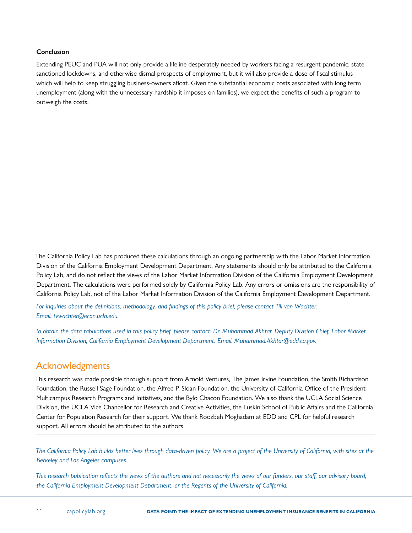#### **Conclusion**

Extending PEUC and PUA will not only provide a lifeline desperately needed by workers facing a resurgent pandemic, statesanctioned lockdowns, and otherwise dismal prospects of employment, but it will also provide a dose of fiscal stimulus which will help to keep struggling business-owners afloat. Given the substantial economic costs associated with long term unemployment (along with the unnecessary hardship it imposes on families), we expect the benefits of such a program to outweigh the costs.

The California Policy Lab has produced these calculations through an ongoing partnership with the Labor Market Information Division of the California Employment Development Department. Any statements should only be attributed to the California Policy Lab, and do not reflect the views of the Labor Market Information Division of the California Employment Development Department. The calculations were performed solely by California Policy Lab. Any errors or omissions are the responsibility of California Policy Lab, not of the Labor Market Information Division of the California Employment Development Department.

*For inquiries about the definitions, methodology, and findings of this policy brief, please contact Till von Wachter. Email: tvwachter@econ.ucla.edu.* 

*To obtain the data tabulations used in this policy brief, please contact: Dr. Muhammad Akhtar, Deputy Division Chief, Labor Market Information Division, California Employment Development Department. Email: Muhammad.Akhtar@edd.ca.gov.*

### Acknowledgments

This research was made possible through support from Arnold Ventures, The James Irvine Foundation, the Smith Richardson Foundation, the Russell Sage Foundation, the Alfred P. Sloan Foundation, the University of California Office of the President Multicampus Research Programs and Initiatives, and the Bylo Chacon Foundation. We also thank the UCLA Social Science Division, the UCLA Vice Chancellor for Research and Creative Activities, the Luskin School of Public Affairs and the California Center for Population Research for their support. We thank Roozbeh Moghadam at EDD and CPL for helpful research support. All errors should be attributed to the authors.

*The California Policy Lab builds better lives through data-driven policy. We are a project of the University of California, with sites at the Berkeley and Los Angeles campuses.* 

*This research publication reflects the views of the authors and not necessarily the views of our funders, our staff, our advisory board, the California Employment Development Department, or the Regents of the University of California.*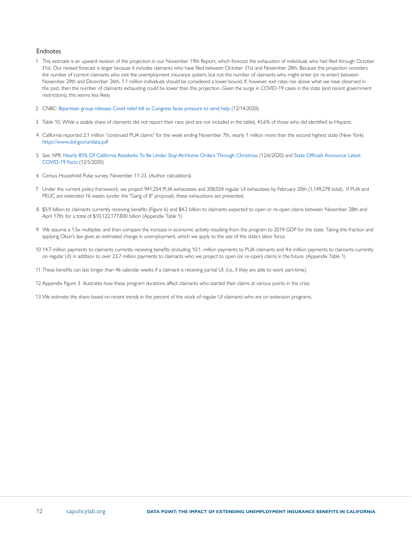#### <span id="page-11-0"></span>Endnotes

- [1](#page-0-0) This estimate is an upward revision of the projection in our November 19th Report, which forecast the exhaustion of individuals who had filed through October 31st. Our revised forecast is larger because it includes claimants who have filed between October 31st and November 28th. Because this projection considers the number of current claimants who exit the unemployment insurance system, but not the number of claimants who might enter (or re-enter) between November 29th and December 26th, 1.1 million individuals should be considered a lower-bound. If, however, exit rates rise above what we have observed in the past, then the number of claimants exhausting could be lower than this projection. Given the surge in COVID-19 cases in the state (and recent government restrictions), this seems less likely.
- [2](#page-0-0) CNBC: [Bipartisan group releases Covid relief bill as Congress faces pressure to send help](https://www.cnbc.com/2020/12/14/coronavirus-stimulus-updates-bipartisan-relief-bill-will-be-released.html) (12/14/2020)
- [3](#page-1-0) Table 10. While a sizable share of claimants did not report their race (and are not included in the table), 43.6% of those who did identified as Hispanic.
- [4](#page-3-0) California reported 2.1 million "continued PUA claims" for the week ending November 7th, nearly 1 million more than the second highest state (New York). <https://www.dol.gov/ui/data.pdf>
- [5](#page-3-0) See: *NPR*: [Nearly 85% Of California Residents To Be Under Stay-At-Home Orders Through Christmas](https://www.npr.org/2020/12/06/943630749/nearly-85-of-california-residents-to-be-under-stay-at-home-orders-through-christ) (12/6/2020) and [State Officials Announce Latest](https://www.cdph.ca.gov/Programs/OPA/Pages/NR20-324.aspx )  [COVID-19 Facts](https://www.cdph.ca.gov/Programs/OPA/Pages/NR20-324.aspx ) (12/5/2020)
- [6](#page-3-0) Census Household Pulse survey, November 11-23. (Author calculations)
- [7](#page-4-0) Under the current policy framework, we project 941,254 PUA exhaustees and 208,024 regular UI exhaustees by February 20th (1,149,278 total). If PUA and PEUC are extended 16 weeks (under the "Gang of 8" proposal), these exhaustions are prevented.
- [8](#page-4-0) \$5.9 billion to claimants currently receiving benefits (Figure 6) and \$4.2 billion to claimants expected to open or re-open claims between November 28th and April 17th, for a total of \$10,122,177,800 billion (Appendix Table 1).
- [9](#page-4-0) We assume a 1.5x multiplier, and then compare the increase in economic activity resulting from the program to 2019 GDP for the state. Taking this fraction and applying Okun's law gives an estimated change in unemployment, which we apply to the size of the state's labor force.
- [10](#page-4-0) 14.7 million payments to claimants currently receiving benefits (including 10.1. million payments to PUA claimants and 4.6 million payments to claimants currently on regular UI) in addition to over 23.7 million payments to claimants who we project to open (or re-open) claims in the future. (Appendix Table 1)
- [11](#page-5-0) These benefits can last longer than 46 calendar weeks if a claimant is receiving partial UI. (I.e., if they are able to work part-time.)
- [12](#page-5-0) Appendix Figure 3 illustrates how these program durations affect claimants who started their claims at various points in the crisis.
- [13](#page-9-0) We estimate this share based on recent trends in the percent of the stock of regular UI claimants who are on extension programs.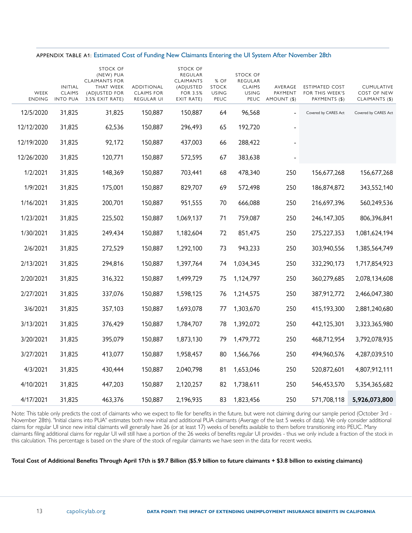#### <span id="page-12-0"></span>APPENDIX TABLE A1: Estimated Cost of Funding New Claimants Entering the UI System After November 28th

| WEEK<br><b>ENDING</b> | <b>INITIAL</b><br><b>CLAIMS</b><br><b>INTO PUA</b> | STOCK OF<br>(NEW) PUA<br><b>CLAIMANTS FOR</b><br>THAT WEEK<br>(ADJUSTED FOR<br>3.5% EXIT RATE) | ADDITIONAL<br><b>CLAIMS FOR</b><br>REGULAR UI | <b>STOCK OF</b><br>REGULAR<br>CLAIMANTS<br>(ADJUSTED<br><b>FOR 3.5%</b><br>EXIT RATE) | % OF<br><b>STOCK</b><br><b>USING</b><br>PEUC | STOCK OF<br>REGULAR<br><b>CLAIMS</b><br><b>USING</b><br>PEUC | AVERAGE<br>PAYMENT<br>AMOUNT (\$) | <b>ESTIMATED COST</b><br>FOR THIS WEEK'S<br>PAYMENTS (\$) | CUMULATIVE<br>COST OF NEW<br>CLAIMANTS (\$) |
|-----------------------|----------------------------------------------------|------------------------------------------------------------------------------------------------|-----------------------------------------------|---------------------------------------------------------------------------------------|----------------------------------------------|--------------------------------------------------------------|-----------------------------------|-----------------------------------------------------------|---------------------------------------------|
| 12/5/2020             | 31,825                                             | 31,825                                                                                         | 150,887                                       | 150,887                                                                               | 64                                           | 96,568                                                       | $\blacksquare$                    | Covered by CARES Act                                      | Covered by CARES Act                        |
| 12/12/2020            | 31,825                                             | 62,536                                                                                         | 150,887                                       | 296,493                                                                               | 65                                           | 192,720                                                      |                                   |                                                           |                                             |
| 12/19/2020            | 31,825                                             | 92,172                                                                                         | 150,887                                       | 437,003                                                                               | 66                                           | 288,422                                                      |                                   |                                                           |                                             |
| 12/26/2020            | 31,825                                             | 120,771                                                                                        | 150,887                                       | 572,595                                                                               | 67                                           | 383,638                                                      |                                   |                                                           |                                             |
| 1/2/2021              | 31,825                                             | 148,369                                                                                        | 150,887                                       | 703,441                                                                               | 68                                           | 478,340                                                      | 250                               | 156,677,268                                               | 156,677,268                                 |
| 1/9/2021              | 31,825                                             | 175,001                                                                                        | 150,887                                       | 829,707                                                                               | 69                                           | 572,498                                                      | 250                               | 186,874,872                                               | 343,552,140                                 |
| 1/16/2021             | 31,825                                             | 200,701                                                                                        | 150,887                                       | 951,555                                                                               | 70                                           | 666,088                                                      | 250                               | 216,697,396                                               | 560,249,536                                 |
| 1/23/2021             | 31,825                                             | 225,502                                                                                        | 150,887                                       | 1,069,137                                                                             | 71                                           | 759,087                                                      | 250                               | 246, 147, 305                                             | 806,396,841                                 |
| 1/30/2021             | 31,825                                             | 249,434                                                                                        | 150,887                                       | 1,182,604                                                                             | 72                                           | 851,475                                                      | 250                               | 275,227,353                                               | 1,081,624,194                               |
| 2/6/2021              | 31,825                                             | 272,529                                                                                        | 150,887                                       | 1,292,100                                                                             | 73                                           | 943,233                                                      | 250                               | 303,940,556                                               | 1,385,564,749                               |
| 2/13/2021             | 31,825                                             | 294,816                                                                                        | 150,887                                       | 1,397,764                                                                             | 74                                           | 1,034,345                                                    | 250                               | 332,290,173                                               | 1,717,854,923                               |
| 2/20/2021             | 31,825                                             | 316,322                                                                                        | 150,887                                       | 1,499,729                                                                             | 75                                           | 1,124,797                                                    | 250                               | 360,279,685                                               | 2,078,134,608                               |
| 2/27/2021             | 31,825                                             | 337,076                                                                                        | 150,887                                       | 1,598,125                                                                             | 76                                           | 1,214,575                                                    | 250                               | 387,912,772                                               | 2,466,047,380                               |
| 3/6/2021              | 31,825                                             | 357,103                                                                                        | 150,887                                       | 1,693,078                                                                             | 77                                           | 1,303,670                                                    | 250                               | 415,193,300                                               | 2,881,240,680                               |
| 3/13/2021             | 31,825                                             | 376,429                                                                                        | 150,887                                       | 1,784,707                                                                             | 78                                           | 1,392,072                                                    | 250                               | 442,125,301                                               | 3,323,365,980                               |
| 3/20/2021             | 31,825                                             | 395,079                                                                                        | 150,887                                       | 1,873,130                                                                             | 79                                           | 1,479,772                                                    | 250                               | 468,712,954                                               | 3,792,078,935                               |
| 3/27/2021             | 31,825                                             | 413,077                                                                                        | 150,887                                       | 1,958,457                                                                             | 80                                           | 1,566,766                                                    | 250                               | 494,960,576                                               | 4,287,039,510                               |
| 4/3/2021              | 31,825                                             | 430,444                                                                                        | 150,887                                       | 2,040,798                                                                             | 81                                           | 1,653,046                                                    | 250                               | 520,872,601                                               | 4,807,912,111                               |
| 4/10/2021             | 31,825                                             | 447,203                                                                                        | 150,887                                       | 2,120,257                                                                             | 82                                           | 1,738,611                                                    | 250                               | 546,453,570                                               | 5,354,365,682                               |
| 4/17/2021             | 31,825                                             | 463,376                                                                                        | 150,887                                       | 2,196,935                                                                             | 83                                           | 1,823,456                                                    | 250                               | 571,708,118                                               | 5,926,073,800                               |

Note: This table only predicts the cost of claimants who we expect to file for benefits in the future, but were not claiming during our sample period (October 3rd -November 28th). "Initial claims into PUA" estimates both new initial and additional PUA claimants (Average of the last 5 weeks of data). We only consider additional claims for regular UI since new initial claimants will generally have 26 (or at least 17) weeks of benefits available to them before transitioning into PEUC. Many claimants filing additional claims for regular UI will still have a portion of the 26 weeks of benefits regular UI provides - thus we only include a fraction of the stock in this calculation. This percentage is based on the share of the stock of regular claimants we have seen in the data for recent weeks.

#### **Total Cost of Additional Benefits Through April 17th is \$9.7 Billion (\$5.9 billion to future claimants + \$3.8 billion to existing claimants)**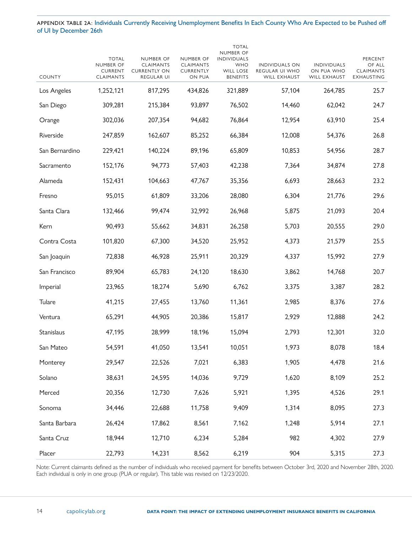APPENDIX TABLE 2A: Individuals Currently Receiving Unemployment Benefits In Each County Who Are Expected to be Pushed off of UI by December 26th

| COUNTY         | <b>TOTAL</b><br>NUMBER OF<br><b>CURRENT</b><br>CLAIMANTS | NUMBER OF<br><b>CLAIMANTS</b><br><b>CURRENTLY ON</b><br>REGULAR UI | NUMBER OF<br><b>CLAIMANTS</b><br>CURRENTLY<br>ON PUA | <b>TOTAL</b><br>NUMBER OF<br><b>INDIVIDUALS</b><br><b>WHO</b><br>WILL LOSE<br><b>BENEFITS</b> | INDIVIDUALS ON<br>REGULAR UI WHO<br>WILL EXHAUST | <b>INDIVIDUALS</b><br>ON PUA WHO<br><b>WILL EXHAUST</b> | PERCENT<br>OF ALL<br><b>CLAIMANTS</b><br>EXHAUSTING |
|----------------|----------------------------------------------------------|--------------------------------------------------------------------|------------------------------------------------------|-----------------------------------------------------------------------------------------------|--------------------------------------------------|---------------------------------------------------------|-----------------------------------------------------|
| Los Angeles    | 1,252,121                                                | 817,295                                                            | 434,826                                              | 321,889                                                                                       | 57,104                                           | 264,785                                                 | 25.7                                                |
| San Diego      | 309,281                                                  | 215,384                                                            | 93,897                                               | 76,502                                                                                        | 14,460                                           | 62,042                                                  | 24.7                                                |
| Orange         | 302,036                                                  | 207,354                                                            | 94,682                                               | 76,864                                                                                        | 12,954                                           | 63,910                                                  | 25.4                                                |
| Riverside      | 247,859                                                  | 162,607                                                            | 85,252                                               | 66,384                                                                                        | 12,008                                           | 54,376                                                  | 26.8                                                |
| San Bernardino | 229,421                                                  | 140,224                                                            | 89,196                                               | 65,809                                                                                        | 10,853                                           | 54,956                                                  | 28.7                                                |
| Sacramento     | 152,176                                                  | 94,773                                                             | 57,403                                               | 42,238                                                                                        | 7,364                                            | 34,874                                                  | 27.8                                                |
| Alameda        | 152,431                                                  | 104,663                                                            | 47,767                                               | 35,356                                                                                        | 6,693                                            | 28,663                                                  | 23.2                                                |
| Fresno         | 95,015                                                   | 61,809                                                             | 33,206                                               | 28,080                                                                                        | 6,304                                            | 21,776                                                  | 29.6                                                |
| Santa Clara    | 132,466                                                  | 99,474                                                             | 32,992                                               | 26,968                                                                                        | 5,875                                            | 21,093                                                  | 20.4                                                |
| Kern           | 90,493                                                   | 55,662                                                             | 34,831                                               | 26,258                                                                                        | 5,703                                            | 20,555                                                  | 29.0                                                |
| Contra Costa   | 101,820                                                  | 67,300                                                             | 34,520                                               | 25,952                                                                                        | 4,373                                            | 21,579                                                  | 25.5                                                |
| San Joaquin    | 72,838                                                   | 46,928                                                             | 25,911                                               | 20,329                                                                                        | 4,337                                            | 15,992                                                  | 27.9                                                |
| San Francisco  | 89,904                                                   | 65,783                                                             | 24,120                                               | 18,630                                                                                        | 3,862                                            | 14,768                                                  | 20.7                                                |
| Imperial       | 23,965                                                   | 18,274                                                             | 5,690                                                | 6,762                                                                                         | 3,375                                            | 3,387                                                   | 28.2                                                |
| Tulare         | 41,215                                                   | 27,455                                                             | 13,760                                               | 11,361                                                                                        | 2,985                                            | 8,376                                                   | 27.6                                                |
| Ventura        | 65,291                                                   | 44,905                                                             | 20,386                                               | 15,817                                                                                        | 2,929                                            | 12,888                                                  | 24.2                                                |
| Stanislaus     | 47,195                                                   | 28,999                                                             | 18,196                                               | 15,094                                                                                        | 2,793                                            | 12,301                                                  | 32.0                                                |
| San Mateo      | 54,591                                                   | 41,050                                                             | 13,541                                               | 10,051                                                                                        | 1,973                                            | 8,078                                                   | 18.4                                                |
| Monterey       | 29,547                                                   | 22,526                                                             | 7,021                                                | 6,383                                                                                         | 1,905                                            | 4,478                                                   | 21.6                                                |
| Solano         | 38,631                                                   | 24,595                                                             | 14,036                                               | 9,729                                                                                         | 1,620                                            | 8,109                                                   | 25.2                                                |
| Merced         | 20,356                                                   | 12,730                                                             | 7,626                                                | 5,921                                                                                         | 1,395                                            | 4,526                                                   | 29.1                                                |
| Sonoma         | 34,446                                                   | 22,688                                                             | 11,758                                               | 9,409                                                                                         | 1,314                                            | 8,095                                                   | 27.3                                                |
| Santa Barbara  | 26,424                                                   | 17,862                                                             | 8,561                                                | 7,162                                                                                         | 1,248                                            | 5,914                                                   | 27.1                                                |
| Santa Cruz     | 18,944                                                   | 12,710                                                             | 6,234                                                | 5,284                                                                                         | 982                                              | 4,302                                                   | 27.9                                                |
| Placer         | 22,793                                                   | 14,231                                                             | 8,562                                                | 6,219                                                                                         | 904                                              | 5,315                                                   | 27.3                                                |

Note: Current claimants defined as the number of individuals who received payment for benefits between October 3rd, 2020 and November 28th, 2020. Each individual is only in one group (PUA or regular). This table was revised on 12/23/2020.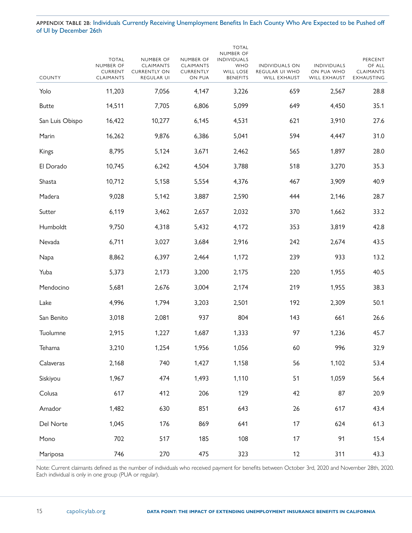APPENDIX TABLE 2B: Individuals Currently Receiving Unemployment Benefits In Each County Who Are Expected to be Pushed off of UI by December 26th

| <b>COUNTY</b>   | <b>TOTAL</b><br>NUMBER OF<br><b>CURRENT</b><br><b>CLAIMANTS</b> | NUMBER OF<br><b>CLAIMANTS</b><br><b>CURRENTLY ON</b><br>REGULAR UI | NUMBER OF<br><b>CLAIMANTS</b><br>CURRENTLY<br>ON PUA | <b>TOTAL</b><br>NUMBER OF<br><b>INDIVIDUALS</b><br><b>WHO</b><br><b>WILL LOSE</b><br><b>BENEFITS</b> | <b>INDIVIDUALS ON</b><br>REGULAR UI WHO<br>WILL EXHAUST | <b>INDIVIDUALS</b><br>ON PUA WHO<br>WILL EXHAUST | PERCENT<br>OF ALL<br><b>CLAIMANTS</b><br>EXHAUSTING |
|-----------------|-----------------------------------------------------------------|--------------------------------------------------------------------|------------------------------------------------------|------------------------------------------------------------------------------------------------------|---------------------------------------------------------|--------------------------------------------------|-----------------------------------------------------|
| Yolo            | 11,203                                                          | 7,056                                                              | 4,147                                                | 3,226                                                                                                | 659                                                     | 2,567                                            | 28.8                                                |
| <b>Butte</b>    | 14,511                                                          | 7,705                                                              | 6,806                                                | 5,099                                                                                                | 649                                                     | 4,450                                            | 35.1                                                |
| San Luis Obispo | 16,422                                                          | 10,277                                                             | 6,145                                                | 4,531                                                                                                | 621                                                     | 3,910                                            | 27.6                                                |
| Marin           | 16,262                                                          | 9,876                                                              | 6,386                                                | 5,041                                                                                                | 594                                                     | 4,447                                            | 31.0                                                |
| Kings           | 8,795                                                           | 5,124                                                              | 3,671                                                | 2,462                                                                                                | 565                                                     | 1,897                                            | 28.0                                                |
| El Dorado       | 10,745                                                          | 6,242                                                              | 4,504                                                | 3,788                                                                                                | 518                                                     | 3,270                                            | 35.3                                                |
| Shasta          | 10,712                                                          | 5,158                                                              | 5,554                                                | 4,376                                                                                                | 467                                                     | 3,909                                            | 40.9                                                |
| Madera          | 9,028                                                           | 5,142                                                              | 3,887                                                | 2,590                                                                                                | 444                                                     | 2,146                                            | 28.7                                                |
| Sutter          | 6,119                                                           | 3,462                                                              | 2,657                                                | 2,032                                                                                                | 370                                                     | 1,662                                            | 33.2                                                |
| Humboldt        | 9,750                                                           | 4,318                                                              | 5,432                                                | 4,172                                                                                                | 353                                                     | 3,819                                            | 42.8                                                |
| Nevada          | 6,711                                                           | 3,027                                                              | 3,684                                                | 2,916                                                                                                | 242                                                     | 2,674                                            | 43.5                                                |
| Napa            | 8,862                                                           | 6,397                                                              | 2,464                                                | 1,172                                                                                                | 239                                                     | 933                                              | 13.2                                                |
| Yuba            | 5,373                                                           | 2,173                                                              | 3,200                                                | 2,175                                                                                                | 220                                                     | 1,955                                            | 40.5                                                |
| Mendocino       | 5,681                                                           | 2,676                                                              | 3,004                                                | 2,174                                                                                                | 219                                                     | 1,955                                            | 38.3                                                |
| Lake            | 4,996                                                           | 1,794                                                              | 3,203                                                | 2,501                                                                                                | 192                                                     | 2,309                                            | 50.1                                                |
| San Benito      | 3,018                                                           | 2,081                                                              | 937                                                  | 804                                                                                                  | 143                                                     | 661                                              | 26.6                                                |
| Tuolumne        | 2,915                                                           | 1,227                                                              | 1,687                                                | 1,333                                                                                                | 97                                                      | 1,236                                            | 45.7                                                |
| Tehama          | 3,210                                                           | 1,254                                                              | 1,956                                                | 1,056                                                                                                | 60                                                      | 996                                              | 32.9                                                |
| Calaveras       | 2,168                                                           | 740                                                                | 1,427                                                | 1,158                                                                                                | 56                                                      | 1,102                                            | 53.4                                                |
| Siskiyou        | 1,967                                                           | 474                                                                | 1,493                                                | 1,110                                                                                                | 51                                                      | 1,059                                            | 56.4                                                |
| Colusa          | 617                                                             | 412                                                                | 206                                                  | 129                                                                                                  | 42                                                      | 87                                               | 20.9                                                |
| Amador          | 1,482                                                           | 630                                                                | 851                                                  | 643                                                                                                  | 26                                                      | 617                                              | 43.4                                                |
| Del Norte       | 1,045                                                           | 176                                                                | 869                                                  | 641                                                                                                  | 17                                                      | 624                                              | 61.3                                                |
| Mono            | 702                                                             | 517                                                                | 185                                                  | 108                                                                                                  | 17                                                      | 91                                               | 15.4                                                |
| Mariposa        | 746                                                             | 270                                                                | 475                                                  | 323                                                                                                  | 12                                                      | 311                                              | 43.3                                                |

Note: Current claimants defined as the number of individuals who received payment for benefits between October 3rd, 2020 and November 28th, 2020. Each individual is only in one group (PUA or regular).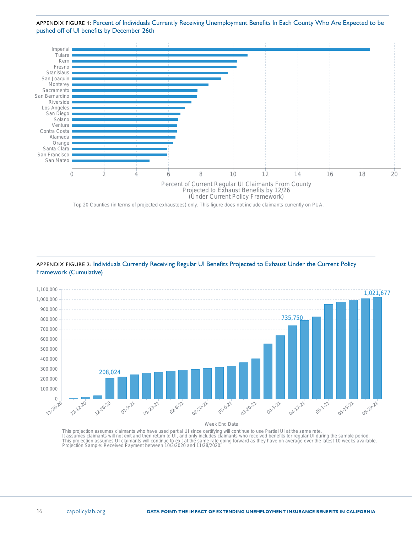<span id="page-15-0"></span>APPENDIX FIGURE 1: Percent of Individuals Currently Receiving Unemployment Benefits In Each County Who Are Expected to be pushed off of UI benefits by December 26th



Top 20 Counties (in terms of projected exhaustees) only. This figure does not include claimants currently on PUA.



APPENDIX FIGURE 2: Individuals Currently Receiving Regular UI Benefits Projected to Exhaust Under the Current Policy Framework (Cumulative)

#### Week End Date

This projection assumes claimants who have used partial UI since certifying will continue to use Partial UI at the same rate.<br>It assumes claimants will not exit and then return to UI, and only includes claimants who receiv Projection Sample: Received Payment between 10/3/2020 and 11/28/2020.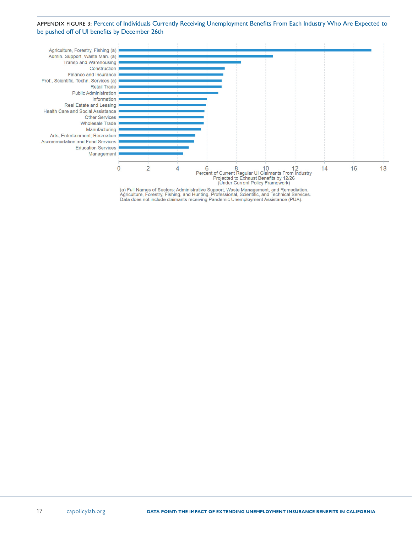#### <span id="page-16-0"></span>APPENDIX FIGURE 3: Percent of Individuals Currently Receiving Unemployment Benefits From Each Industry Who Are Expected to be pushed off of UI benefits by December 26th



(a) Full Names of Sectors: Administrative Support, Waste Management, and Remediation.<br>Agriculture, Forestry, Fishing, and Hunting. Professional, Scientific, and Technical Services.<br>Data does not include claimants receiving